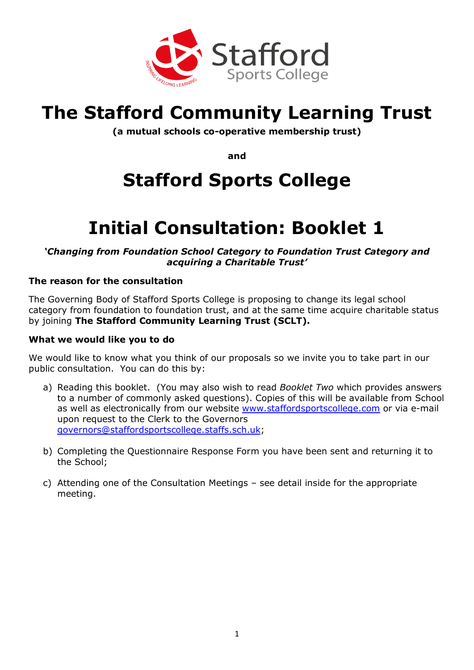

# **The Stafford Community Learning Trust**

**(a mutual schools co-operative membership trust)**

**and**

# **Stafford Sports College**

# **Initial Consultation: Booklet 1**

*'Changing from Foundation School Category to Foundation Trust Category and acquiring a Charitable Trust'*

## **The reason for the consultation**

The Governing Body of Stafford Sports College is proposing to change its legal school category from foundation to foundation trust, and at the same time acquire charitable status by joining **The Stafford Community Learning Trust (SCLT).**

#### **What we would like you to do**

We would like to know what you think of our proposals so we invite you to take part in our public consultation. You can do this by:

- a) Reading this booklet. (You may also wish to read *Booklet Two* which provides answers to a number of commonly asked questions). Copies of this will be available from School as well as electronically from our website [www.staffordsportscollege.com](http://www.staffordsportscollege.com/) or via e-mail upon request to the Clerk to the Governors [governors@staffordsportscollege.staffs.sch.uk;](mailto:governors@staffordsportscollege.staffs.sch.uk)
- b) Completing the Questionnaire Response Form you have been sent and returning it to the School;
- c) Attending one of the Consultation Meetings see detail inside for the appropriate meeting.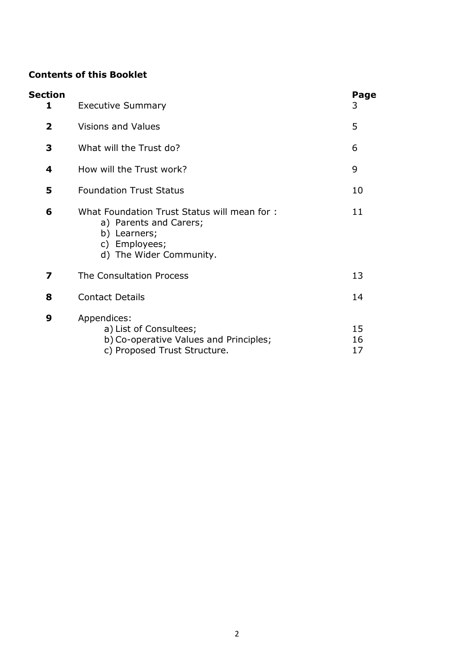## **Contents of this Booklet**

| Section<br>1 | <b>Executive Summary</b>                                                                                                          | Page<br>3      |
|--------------|-----------------------------------------------------------------------------------------------------------------------------------|----------------|
| $\mathbf{2}$ | Visions and Values                                                                                                                | 5              |
| 3            | What will the Trust do?                                                                                                           | 6              |
| 4            | How will the Trust work?                                                                                                          | 9              |
| 5            | <b>Foundation Trust Status</b>                                                                                                    | 10             |
| 6            | What Foundation Trust Status will mean for:<br>a) Parents and Carers;<br>b) Learners;<br>c) Employees;<br>d) The Wider Community. | 11             |
| 7            | The Consultation Process                                                                                                          | 13             |
| 8            | <b>Contact Details</b>                                                                                                            | 14             |
| 9            | Appendices:<br>a) List of Consultees;<br>b) Co-operative Values and Principles;<br>c) Proposed Trust Structure.                   | 15<br>16<br>17 |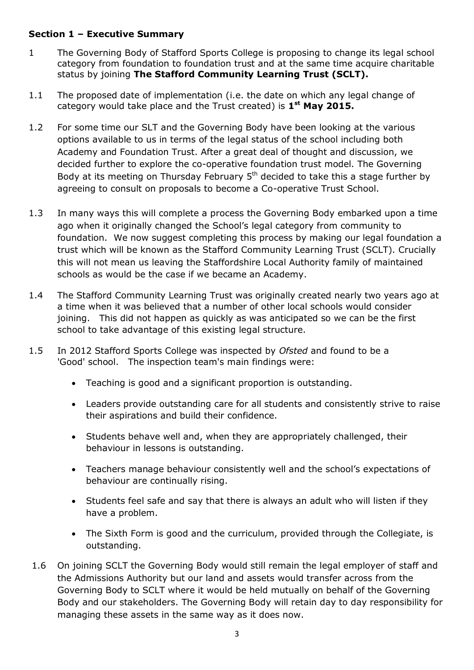## **Section 1 – Executive Summary**

- 1 The Governing Body of Stafford Sports College is proposing to change its legal school category from foundation to foundation trust and at the same time acquire charitable status by joining **The Stafford Community Learning Trust (SCLT).**
- 1.1 The proposed date of implementation (i.e. the date on which any legal change of category would take place and the Trust created) is **1 st May 2015.**
- 1.2 For some time our SLT and the Governing Body have been looking at the various options available to us in terms of the legal status of the school including both Academy and Foundation Trust. After a great deal of thought and discussion, we decided further to explore the co-operative foundation trust model. The Governing Body at its meeting on Thursday February  $5<sup>th</sup>$  decided to take this a stage further by agreeing to consult on proposals to become a Co-operative Trust School.
- 1.3 In many ways this will complete a process the Governing Body embarked upon a time ago when it originally changed the School's legal category from community to foundation. We now suggest completing this process by making our legal foundation a trust which will be known as the Stafford Community Learning Trust (SCLT). Crucially this will not mean us leaving the Staffordshire Local Authority family of maintained schools as would be the case if we became an Academy.
- 1.4 The Stafford Community Learning Trust was originally created nearly two years ago at a time when it was believed that a number of other local schools would consider joining. This did not happen as quickly as was anticipated so we can be the first school to take advantage of this existing legal structure.
- 1.5 In 2012 Stafford Sports College was inspected by *Ofsted* and found to be a 'Good' school. The inspection team's main findings were:
	- Teaching is good and a significant proportion is outstanding.
	- Leaders provide outstanding care for all students and consistently strive to raise their aspirations and build their confidence.
	- Students behave well and, when they are appropriately challenged, their behaviour in lessons is outstanding.
	- Teachers manage behaviour consistently well and the school's expectations of behaviour are continually rising.
	- Students feel safe and say that there is always an adult who will listen if they have a problem.
	- The Sixth Form is good and the curriculum, provided through the Collegiate, is outstanding.
- 1.6 On joining SCLT the Governing Body would still remain the legal employer of staff and the Admissions Authority but our land and assets would transfer across from the Governing Body to SCLT where it would be held mutually on behalf of the Governing Body and our stakeholders. The Governing Body will retain day to day responsibility for managing these assets in the same way as it does now.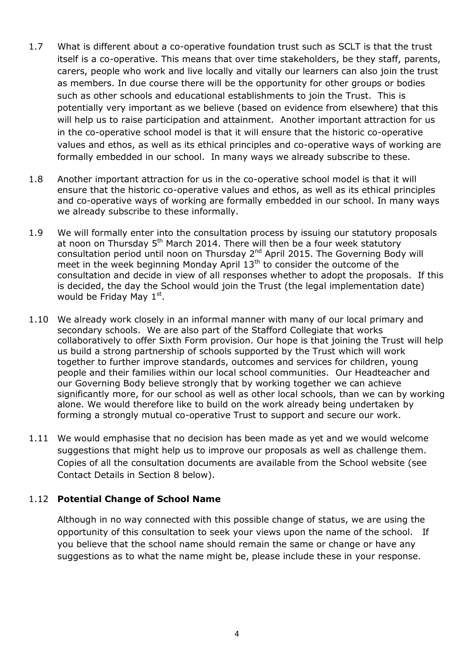- 1.7 What is different about a co-operative foundation trust such as SCLT is that the trust itself is a co-operative. This means that over time stakeholders, be they staff, parents, carers, people who work and live locally and vitally our learners can also join the trust as members. In due course there will be the opportunity for other groups or bodies such as other schools and educational establishments to join the Trust. This is potentially very important as we believe (based on evidence from elsewhere) that this will help us to raise participation and attainment. Another important attraction for us in the co-operative school model is that it will ensure that the historic co-operative values and ethos, as well as its ethical principles and co-operative ways of working are formally embedded in our school. In many ways we already subscribe to these.
- 1.8 Another important attraction for us in the co-operative school model is that it will ensure that the historic co-operative values and ethos, as well as its ethical principles and co-operative ways of working are formally embedded in our school. In many ways we already subscribe to these informally.
- 1.9 We will formally enter into the consultation process by issuing our statutory proposals at noon on Thursday  $5<sup>th</sup>$  March 2014. There will then be a four week statutory consultation period until noon on Thursday 2<sup>nd</sup> April 2015. The Governing Body will meet in the week beginning Monday April  $13<sup>th</sup>$  to consider the outcome of the consultation and decide in view of all responses whether to adopt the proposals. If this is decided, the day the School would join the Trust (the legal implementation date) would be Friday May  $1<sup>st</sup>$ .
- 1.10 We already work closely in an informal manner with many of our local primary and secondary schools. We are also part of the Stafford Collegiate that works collaboratively to offer Sixth Form provision. Our hope is that joining the Trust will help us build a strong partnership of schools supported by the Trust which will work together to further improve standards, outcomes and services for children, young people and their families within our local school communities. Our Headteacher and our Governing Body believe strongly that by working together we can achieve significantly more, for our school as well as other local schools, than we can by working alone. We would therefore like to build on the work already being undertaken by forming a strongly mutual co-operative Trust to support and secure our work.
- 1.11 We would emphasise that no decision has been made as yet and we would welcome suggestions that might help us to improve our proposals as well as challenge them. Copies of all the consultation documents are available from the School website (see Contact Details in Section 8 below).

## 1.12 **Potential Change of School Name**

Although in no way connected with this possible change of status, we are using the opportunity of this consultation to seek your views upon the name of the school. If you believe that the school name should remain the same or change or have any suggestions as to what the name might be, please include these in your response.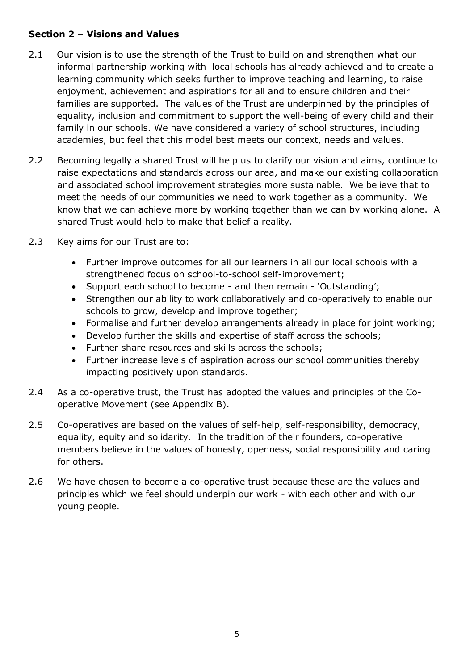# **Section 2 – Visions and Values**

- 2.1 Our vision is to use the strength of the Trust to build on and strengthen what our informal partnership working with local schools has already achieved and to create a learning community which seeks further to improve teaching and learning, to raise enjoyment, achievement and aspirations for all and to ensure children and their families are supported. The values of the Trust are underpinned by the principles of equality, inclusion and commitment to support the well-being of every child and their family in our schools. We have considered a variety of school structures, including academies, but feel that this model best meets our context, needs and values.
- 2.2 Becoming legally a shared Trust will help us to clarify our vision and aims, continue to raise expectations and standards across our area, and make our existing collaboration and associated school improvement strategies more sustainable. We believe that to meet the needs of our communities we need to work together as a community. We know that we can achieve more by working together than we can by working alone. A shared Trust would help to make that belief a reality.
- 2.3 Key aims for our Trust are to:
	- Further improve outcomes for all our learners in all our local schools with a strengthened focus on school-to-school self-improvement;
	- Support each school to become and then remain 'Outstanding';
	- Strengthen our ability to work collaboratively and co-operatively to enable our schools to grow, develop and improve together;
	- Formalise and further develop arrangements already in place for joint working;
	- Develop further the skills and expertise of staff across the schools;
	- Further share resources and skills across the schools;
	- Further increase levels of aspiration across our school communities thereby impacting positively upon standards.
- 2.4 As a co-operative trust, the Trust has adopted the values and principles of the Cooperative Movement (see Appendix B).
- 2.5 Co-operatives are based on the values of self-help, self-responsibility, democracy, equality, equity and solidarity. In the tradition of their founders, co-operative members believe in the values of honesty, openness, social responsibility and caring for others.
- 2.6 We have chosen to become a co-operative trust because these are the values and principles which we feel should underpin our work - with each other and with our young people.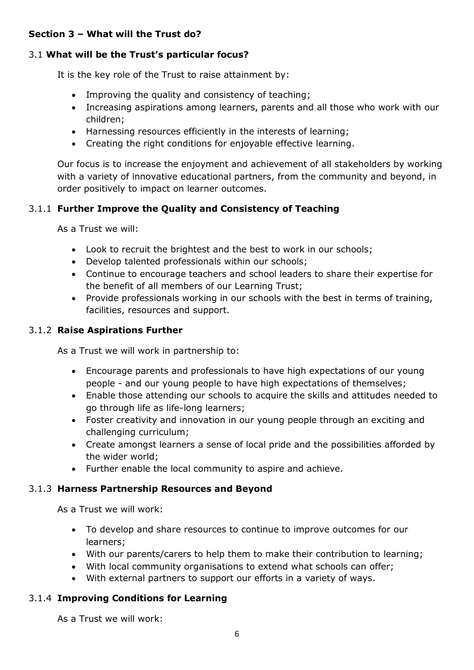## **Section 3 – What will the Trust do?**

# 3.1 **What will be the Trust's particular focus?**

It is the key role of the Trust to raise attainment by:

- Improving the quality and consistency of teaching;
- Increasing aspirations among learners, parents and all those who work with our children;
- Harnessing resources efficiently in the interests of learning;
- Creating the right conditions for enjoyable effective learning.

Our focus is to increase the enjoyment and achievement of all stakeholders by working with a variety of innovative educational partners, from the community and beyond, in order positively to impact on learner outcomes.

# 3.1.1 **Further Improve the Quality and Consistency of Teaching**

As a Trust we will:

- Look to recruit the brightest and the best to work in our schools;
- Develop talented professionals within our schools;
- Continue to encourage teachers and school leaders to share their expertise for the benefit of all members of our Learning Trust;
- Provide professionals working in our schools with the best in terms of training, facilities, resources and support.

# 3.1.2 **Raise Aspirations Further**

As a Trust we will work in partnership to:

- Encourage parents and professionals to have high expectations of our young people - and our young people to have high expectations of themselves;
- Enable those attending our schools to acquire the skills and attitudes needed to go through life as life-long learners;
- Foster creativity and innovation in our young people through an exciting and challenging curriculum;
- Create amongst learners a sense of local pride and the possibilities afforded by the wider world;
- Further enable the local community to aspire and achieve.

# 3.1.3 **Harness Partnership Resources and Beyond**

As a Trust we will work:

- To develop and share resources to continue to improve outcomes for our learners;
- With our parents/carers to help them to make their contribution to learning;
- With local community organisations to extend what schools can offer;
- With external partners to support our efforts in a variety of ways.

# 3.1.4 **Improving Conditions for Learning**

As a Trust we will work: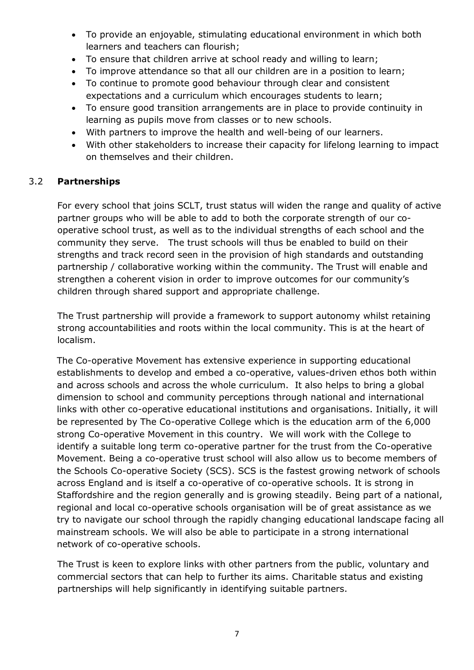- To provide an enjoyable, stimulating educational environment in which both learners and teachers can flourish;
- To ensure that children arrive at school ready and willing to learn;
- To improve attendance so that all our children are in a position to learn;
- To continue to promote good behaviour through clear and consistent expectations and a curriculum which encourages students to learn;
- To ensure good transition arrangements are in place to provide continuity in learning as pupils move from classes or to new schools.
- With partners to improve the health and well-being of our learners.
- With other stakeholders to increase their capacity for lifelong learning to impact on themselves and their children.

## 3.2 **Partnerships**

For every school that joins SCLT, trust status will widen the range and quality of active partner groups who will be able to add to both the corporate strength of our cooperative school trust, as well as to the individual strengths of each school and the community they serve. The trust schools will thus be enabled to build on their strengths and track record seen in the provision of high standards and outstanding partnership / collaborative working within the community. The Trust will enable and strengthen a coherent vision in order to improve outcomes for our community's children through shared support and appropriate challenge.

The Trust partnership will provide a framework to support autonomy whilst retaining strong accountabilities and roots within the local community. This is at the heart of localism.

The Co-operative Movement has extensive experience in supporting educational establishments to develop and embed a co-operative, values-driven ethos both within and across schools and across the whole curriculum. It also helps to bring a global dimension to school and community perceptions through national and international links with other co-operative educational institutions and organisations. Initially, it will be represented by The Co-operative College which is the education arm of the 6,000 strong Co-operative Movement in this country. We will work with the College to identify a suitable long term co-operative partner for the trust from the Co-operative Movement. Being a co-operative trust school will also allow us to become members of the Schools Co-operative Society (SCS). SCS is the fastest growing network of schools across England and is itself a co-operative of co-operative schools. It is strong in Staffordshire and the region generally and is growing steadily. Being part of a national, regional and local co-operative schools organisation will be of great assistance as we try to navigate our school through the rapidly changing educational landscape facing all mainstream schools. We will also be able to participate in a strong international network of co-operative schools.

The Trust is keen to explore links with other partners from the public, voluntary and commercial sectors that can help to further its aims. Charitable status and existing partnerships will help significantly in identifying suitable partners.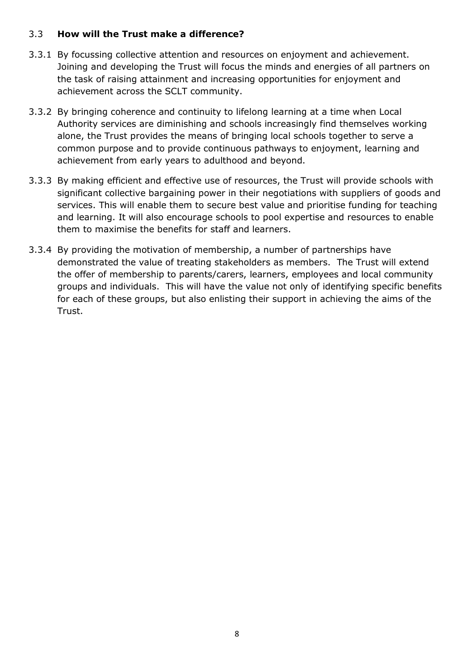### 3.3 **How will the Trust make a difference?**

- 3.3.1 By focussing collective attention and resources on enjoyment and achievement. Joining and developing the Trust will focus the minds and energies of all partners on the task of raising attainment and increasing opportunities for enjoyment and achievement across the SCLT community.
- 3.3.2 By bringing coherence and continuity to lifelong learning at a time when Local Authority services are diminishing and schools increasingly find themselves working alone, the Trust provides the means of bringing local schools together to serve a common purpose and to provide continuous pathways to enjoyment, learning and achievement from early years to adulthood and beyond.
- 3.3.3 By making efficient and effective use of resources, the Trust will provide schools with significant collective bargaining power in their negotiations with suppliers of goods and services. This will enable them to secure best value and prioritise funding for teaching and learning. It will also encourage schools to pool expertise and resources to enable them to maximise the benefits for staff and learners.
- 3.3.4 By providing the motivation of membership, a number of partnerships have demonstrated the value of treating stakeholders as members. The Trust will extend the offer of membership to parents/carers, learners, employees and local community groups and individuals. This will have the value not only of identifying specific benefits for each of these groups, but also enlisting their support in achieving the aims of the Trust.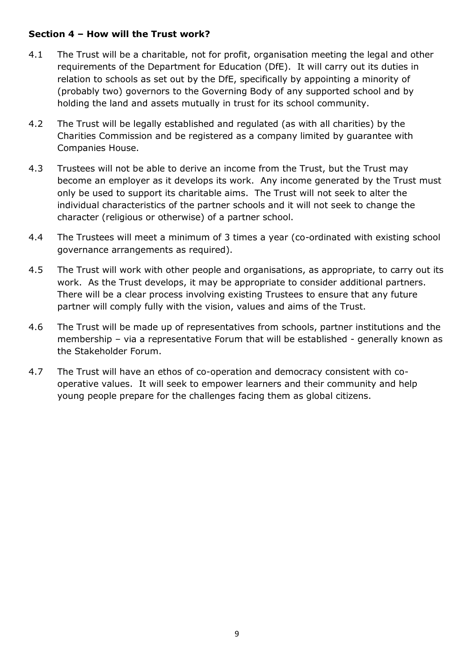## **Section 4 – How will the Trust work?**

- 4.1 The Trust will be a charitable, not for profit, organisation meeting the legal and other requirements of the Department for Education (DfE). It will carry out its duties in relation to schools as set out by the DfE, specifically by appointing a minority of (probably two) governors to the Governing Body of any supported school and by holding the land and assets mutually in trust for its school community.
- 4.2 The Trust will be legally established and regulated (as with all charities) by the Charities Commission and be registered as a company limited by guarantee with Companies House.
- 4.3 Trustees will not be able to derive an income from the Trust, but the Trust may become an employer as it develops its work. Any income generated by the Trust must only be used to support its charitable aims. The Trust will not seek to alter the individual characteristics of the partner schools and it will not seek to change the character (religious or otherwise) of a partner school.
- 4.4 The Trustees will meet a minimum of 3 times a year (co-ordinated with existing school governance arrangements as required).
- 4.5 The Trust will work with other people and organisations, as appropriate, to carry out its work. As the Trust develops, it may be appropriate to consider additional partners. There will be a clear process involving existing Trustees to ensure that any future partner will comply fully with the vision, values and aims of the Trust.
- 4.6 The Trust will be made up of representatives from schools, partner institutions and the membership – via a representative Forum that will be established - generally known as the Stakeholder Forum.
- 4.7 The Trust will have an ethos of co-operation and democracy consistent with cooperative values. It will seek to empower learners and their community and help young people prepare for the challenges facing them as global citizens.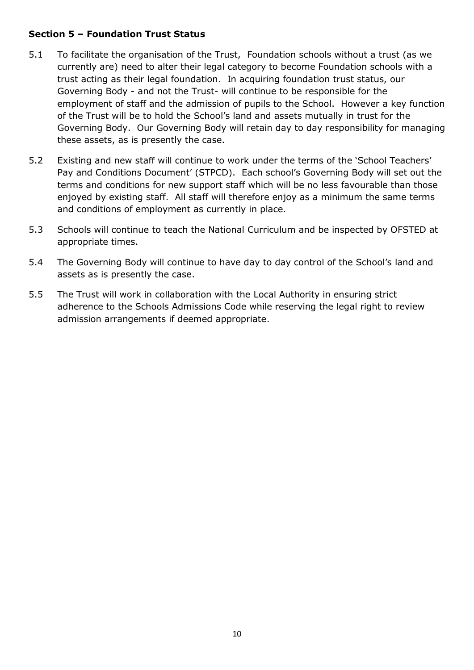## **Section 5 – Foundation Trust Status**

- 5.1 To facilitate the organisation of the Trust, Foundation schools without a trust (as we currently are) need to alter their legal category to become Foundation schools with a trust acting as their legal foundation. In acquiring foundation trust status, our Governing Body - and not the Trust- will continue to be responsible for the employment of staff and the admission of pupils to the School. However a key function of the Trust will be to hold the School's land and assets mutually in trust for the Governing Body. Our Governing Body will retain day to day responsibility for managing these assets, as is presently the case.
- 5.2 Existing and new staff will continue to work under the terms of the 'School Teachers' Pay and Conditions Document' (STPCD). Each school's Governing Body will set out the terms and conditions for new support staff which will be no less favourable than those enjoyed by existing staff. All staff will therefore enjoy as a minimum the same terms and conditions of employment as currently in place.
- 5.3 Schools will continue to teach the National Curriculum and be inspected by OFSTED at appropriate times.
- 5.4 The Governing Body will continue to have day to day control of the School's land and assets as is presently the case.
- 5.5 The Trust will work in collaboration with the Local Authority in ensuring strict adherence to the Schools Admissions Code while reserving the legal right to review admission arrangements if deemed appropriate.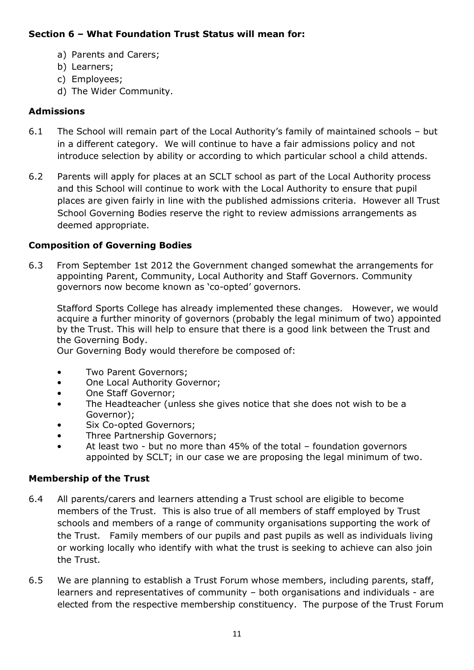# **Section 6 – What Foundation Trust Status will mean for:**

- a) Parents and Carers;
- b) Learners;
- c) Employees;
- d) The Wider Community.

# **Admissions**

- 6.1 The School will remain part of the Local Authority's family of maintained schools but in a different category. We will continue to have a fair admissions policy and not introduce selection by ability or according to which particular school a child attends.
- 6.2 Parents will apply for places at an SCLT school as part of the Local Authority process and this School will continue to work with the Local Authority to ensure that pupil places are given fairly in line with the published admissions criteria. However all Trust School Governing Bodies reserve the right to review admissions arrangements as deemed appropriate.

# **Composition of Governing Bodies**

6.3 From September 1st 2012 the Government changed somewhat the arrangements for appointing Parent, Community, Local Authority and Staff Governors. Community governors now become known as 'co-opted' governors.

Stafford Sports College has already implemented these changes. However, we would acquire a further minority of governors (probably the legal minimum of two) appointed by the Trust. This will help to ensure that there is a good link between the Trust and the Governing Body.

Our Governing Body would therefore be composed of:

- Two Parent Governors;
- One Local Authority Governor;
- One Staff Governor;
- The Headteacher (unless she gives notice that she does not wish to be a Governor);
- Six Co-opted Governors;
- Three Partnership Governors;
- At least two but no more than 45% of the total foundation governors appointed by SCLT; in our case we are proposing the legal minimum of two.

# **Membership of the Trust**

- 6.4 All parents/carers and learners attending a Trust school are eligible to become members of the Trust. This is also true of all members of staff employed by Trust schools and members of a range of community organisations supporting the work of the Trust. Family members of our pupils and past pupils as well as individuals living or working locally who identify with what the trust is seeking to achieve can also join the Trust.
- 6.5 We are planning to establish a Trust Forum whose members, including parents, staff, learners and representatives of community – both organisations and individuals - are elected from the respective membership constituency. The purpose of the Trust Forum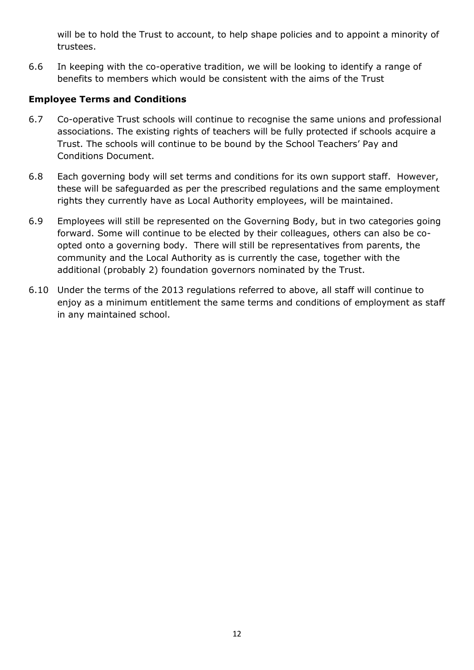will be to hold the Trust to account, to help shape policies and to appoint a minority of trustees.

6.6 In keeping with the co-operative tradition, we will be looking to identify a range of benefits to members which would be consistent with the aims of the Trust

# **Employee Terms and Conditions**

- 6.7 Co-operative Trust schools will continue to recognise the same unions and professional associations. The existing rights of teachers will be fully protected if schools acquire a Trust. The schools will continue to be bound by the School Teachers' Pay and Conditions Document.
- 6.8 Each governing body will set terms and conditions for its own support staff. However, these will be safeguarded as per the prescribed regulations and the same employment rights they currently have as Local Authority employees, will be maintained.
- 6.9 Employees will still be represented on the Governing Body, but in two categories going forward. Some will continue to be elected by their colleagues, others can also be coopted onto a governing body. There will still be representatives from parents, the community and the Local Authority as is currently the case, together with the additional (probably 2) foundation governors nominated by the Trust.
- 6.10 Under the terms of the 2013 regulations referred to above, all staff will continue to enjoy as a minimum entitlement the same terms and conditions of employment as staff in any maintained school.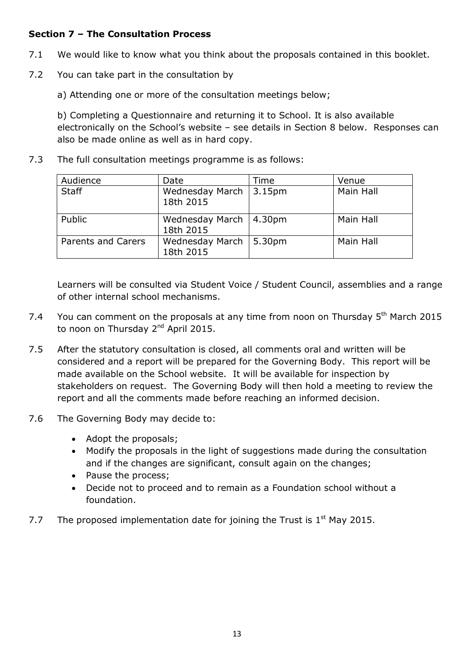## **Section 7 – The Consultation Process**

- 7.1 We would like to know what you think about the proposals contained in this booklet.
- 7.2 You can take part in the consultation by

a) Attending one or more of the consultation meetings below;

b) Completing a Questionnaire and returning it to School. It is also available electronically on the School's website – see details in Section 8 below. Responses can also be made online as well as in hard copy.

7.3 The full consultation meetings programme is as follows:

| Audience           | Date                         | Time               | Venue     |
|--------------------|------------------------------|--------------------|-----------|
| <b>Staff</b>       | Wednesday March<br>18th 2015 | 3.15pm             | Main Hall |
| Public             | Wednesday March<br>18th 2015 | 4.30 <sub>pm</sub> | Main Hall |
| Parents and Carers | Wednesday March<br>18th 2015 | 5.30pm             | Main Hall |

Learners will be consulted via Student Voice / Student Council, assemblies and a range of other internal school mechanisms.

- 7.4 You can comment on the proposals at any time from noon on Thursday  $5<sup>th</sup>$  March 2015 to noon on Thursday 2<sup>nd</sup> April 2015.
- 7.5 After the statutory consultation is closed, all comments oral and written will be considered and a report will be prepared for the Governing Body. This report will be made available on the School website. It will be available for inspection by stakeholders on request. The Governing Body will then hold a meeting to review the report and all the comments made before reaching an informed decision.
- 7.6 The Governing Body may decide to:
	- Adopt the proposals;
	- Modify the proposals in the light of suggestions made during the consultation and if the changes are significant, consult again on the changes;
	- Pause the process;
	- Decide not to proceed and to remain as a Foundation school without a foundation.
- 7.7 The proposed implementation date for joining the Trust is  $1<sup>st</sup>$  May 2015.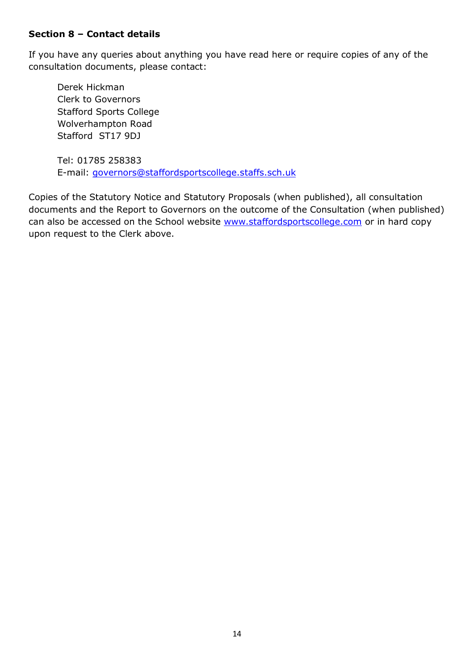### **Section 8 – Contact details**

If you have any queries about anything you have read here or require copies of any of the consultation documents, please contact:

Derek Hickman Clerk to Governors Stafford Sports College Wolverhampton Road Stafford ST17 9DJ

Tel: 01785 258383 E-mail: [governors@staffordsportscollege.staffs.sch.uk](mailto:governors@staffordsportscollege.staffs.sch.uk)

Copies of the Statutory Notice and Statutory Proposals (when published), all consultation documents and the Report to Governors on the outcome of the Consultation (when published) can also be accessed on the School website [www.staffordsportscollege.com](http://www.staffordsportscollege.com/) or in hard copy upon request to the Clerk above.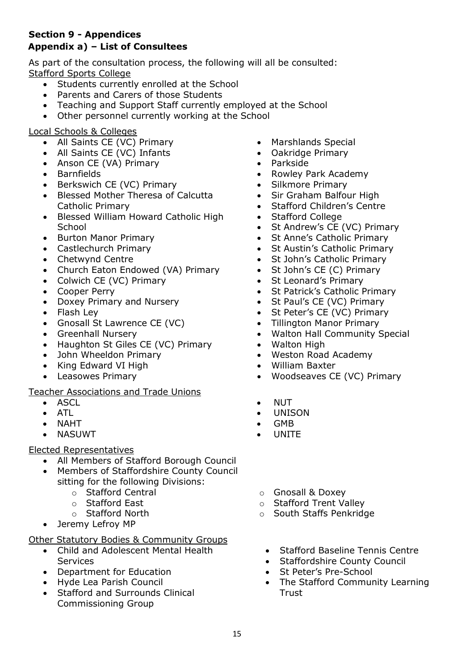# **Section 9 - Appendices**

# **Appendix a) – List of Consultees**

As part of the consultation process, the following will all be consulted: Stafford Sports College

- Students currently enrolled at the School
- Parents and Carers of those Students
- Teaching and Support Staff currently employed at the School
- Other personnel currently working at the School

## Local Schools & Colleges

- All Saints CE (VC) Primary
- All Saints CE (VC) Infants
- Anson CE (VA) Primary
- Barnfields
- Berkswich CE (VC) Primary
- Blessed Mother Theresa of Calcutta Catholic Primary
- Blessed William Howard Catholic High **School**
- Burton Manor Primary
- Castlechurch Primary
- Chetwynd Centre
- Church Eaton Endowed (VA) Primary
- Colwich CE (VC) Primary
- Cooper Perry
- Doxey Primary and Nursery
- Flash Lev
- Gnosall St Lawrence CE (VC)
- Greenhall Nursery
- Haughton St Giles CE (VC) Primary
- John Wheeldon Primary
- King Edward VI High
- Leasowes Primary

#### Teacher Associations and Trade Unions

- ASCL
- ATL
- NAHT
- NASUWT

## Elected Representatives

- All Members of Stafford Borough Council
- Members of Staffordshire County Council sitting for the following Divisions:
	- o Stafford Central
	- o Stafford East
	- o Stafford North
- Jeremy Lefroy MP

## Other Statutory Bodies & Community Groups

- Child and Adolescent Mental Health Services
- Department for Education
- Hyde Lea Parish Council
- Stafford and Surrounds Clinical Commissioning Group
- Marshlands Special
- Oakridge Primary
- Parkside
- Rowley Park Academy
- Silkmore Primary
- Sir Graham Balfour High
- Stafford Children's Centre
- Stafford College
- St Andrew's CE (VC) Primary
- St Anne's Catholic Primary
- St Austin's Catholic Primary
- St John's Catholic Primary
- St John's CE (C) Primary
- St Leonard's Primary
- St Patrick's Catholic Primary
- St Paul's CE (VC) Primary
- St Peter's CE (VC) Primary
- Tillington Manor Primary
- Walton Hall Community Special
- Walton High
- Weston Road Academy
- William Baxter
- Woodseaves CE (VC) Primary
- NUT
- UNISON
- GMB
- UNITE
- o Gnosall & Doxey
- o Stafford Trent Valley
- o South Staffs Penkridge
	- Stafford Baseline Tennis Centre
	- Staffordshire County Council
	- St Peter's Pre-School
	- The Stafford Community Learning **Trust**
- - -